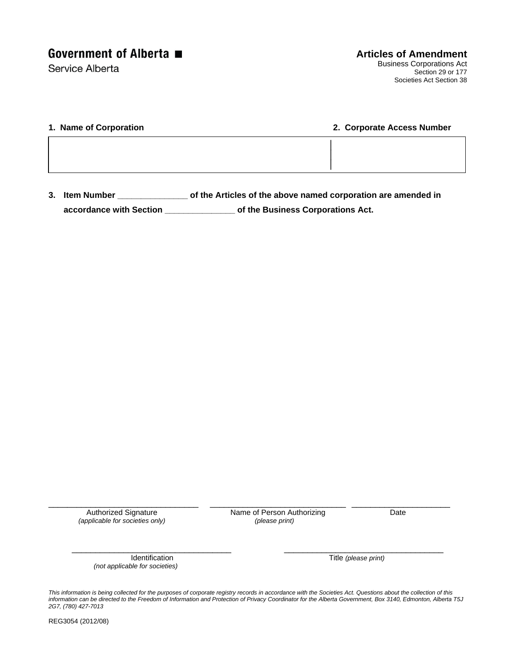Service Alberta

| 1. Name of Corporation | 2. Corporate Access Number |  |  |
|------------------------|----------------------------|--|--|
|                        |                            |  |  |
|                        |                            |  |  |

**3. Item Number \_\_\_\_\_\_\_\_\_\_\_\_\_\_\_ of the Articles of the above named corporation are amended in accordance with Section \_\_\_\_\_\_\_\_\_\_\_\_\_\_\_ of the Business Corporations Act.** 

\_\_\_\_\_\_\_\_\_\_\_\_\_\_\_\_\_\_\_\_\_\_\_\_\_\_\_\_\_\_\_\_ \_\_\_\_\_\_\_\_\_\_\_\_\_\_\_\_\_\_\_\_\_\_\_\_\_\_\_\_\_ \_\_\_\_\_\_\_\_\_\_\_\_\_\_\_\_\_\_\_\_\_ *(applicable for societies only)* 

Authorized Signature **Name of Person Authorizing** Date *pplicable for societies only Date (please print)* 

 *(not applicable for societies)* 

Identification Title *(please print)* 

*This information is being collected for the purposes of corporate registry records in accordance with the Societies Act. Questions about the collection of this information can be directed to the Freedom of Information and Protection of Privacy Coordinator for the Alberta Government, Box 3140, Edmonton, Alberta T5J 2G7, (780) 427-7013* 

\_\_\_\_\_\_\_\_\_\_\_\_\_\_\_\_\_\_\_\_\_\_\_\_\_\_\_\_\_\_\_\_\_\_ \_\_\_\_\_\_\_\_\_\_\_\_\_\_\_\_\_\_\_\_\_\_\_\_\_\_\_\_\_\_\_\_\_\_

REG3054 (2012/08)